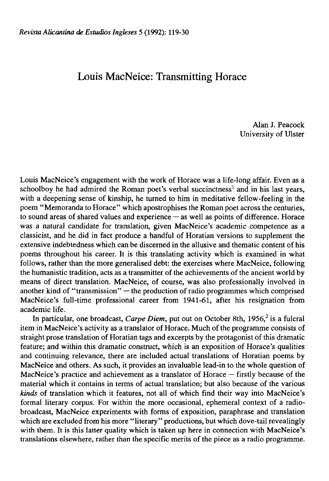## Louis MacNeice: Transmitting Horace

Alan J. Peacock University of Ulster

Louis MacNeice's engagement with the work of Horace was a life-long affair. Even as a schoolboy he had admired the Roman poet's verbal succinctness<sup>1</sup> and in his last years, with a deepening sense of kinship, he turned to him in meditative fellow-feeling in the poem "Memoranda to Horace" which apostrophises the Roman poet across the centuries, to sound areas of shared values and experience  $-$  as well as points of difference. Horace was a natural candidate for translation, given MacNeice's academic competence as a classicist, and he did in fact produce a handful of Horatian versions to supplement the extensive indebtedness which can be discerned in the allusive and thematic content of his poems throughout his career. It is this translating activity which is examined in what follows, rather than the more generalised debt: the exercises where MacNeice, following the humanistic tradition, acts as a transmitter of the achievements of the ancient world by means of direct translation. MacNeice, of course, was also professionally involved in another kind of "transmission" — the production of radio programmes which comprised MacNeice's full-time professional career from 1941-61, after his resignation from academic life.

In particular, one broadcast, *Carpe Diem*, put out on October 8th, 1956,<sup>2</sup> is a fulcral item in MacNeice's activity as a translator of Horace. Much of the programme consists of straight prose translation of Horatian tags and excerpts by the protagonist of this dramatic feature; and within this dramatic construct, which is an exposition of Horace's qualities and continuing relevance, there are included actual translations of Horatian poems by MacNeice and others. As such, it provides an invaluable lead-in to the whole question of MacNeice's practice and achievement as a translator of Horace — firstly because of the material which it contains in terms of actual translation; but also because of the various *kinds* of translation which it features, not all of which find their way into MacNeice's formal literary corpus. For within the more occasional, ephemeral context of a radiobroadcast, MacNeice experiments with forms of exposition, paraphrase and translation which are excluded from his more "literary" productions, but which dove-tail revealingly with them. It is this latter quality which is taken up here in connection with MacNeice's translations elsewhere, rather than the specific merits of the piece as a radio programme.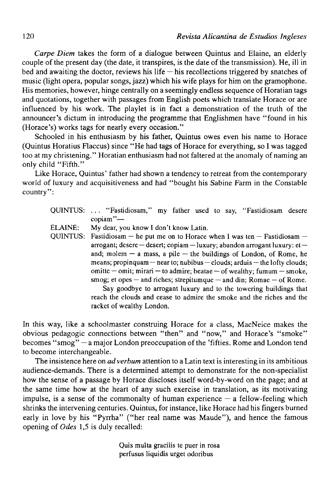*Carpe Diem* takes the form of a dialogue between Quintus and Elaine, an elderly couple of the present day (the date, it transpires, is the date of the transmission). He, ill in bed and awaiting the doctor, reviews his life  $-$  his recollections triggered by snatches of music (light opera, popular songs, jazz) which his wife plays for him on the gramophone. His memories, however, hinge centrally on a seemingly endless sequence of Horatian tags and quotations, together with passages from English poets which transíate Horace or are influenced by his work. The playlet is in fact a demonstration of the truth of the announcer's dictum in introducing the programme that Englishmen have "found in his (Horace's) works tags for nearly every occasion."

Schooled in his enthusiasm by his father, Quintus owes even his name to Horace (Quintus Horatius Flaccus) since "He had tags of Horace for everything, so I was tagged too at my christening." Horatian enthusiasm had not faltered at the anomaly of naming an only child "Fifth."

Like Horace, Quintus' father had shown a tendency to retreat from the contemporary world of luxury and acquisitiveness and had "bought his Sabine Farm in the Constable country":

- QUINTUS: .. . "Fastidiosam," my father used to say, "Fastidiosam desere copiam"—
- ELAINE: My dear, you know I don't know Latin.

QUINTUS: Fastidiosam – he put me on to Horace when I was ten – Fastidiosam – arrogant; desere — desert; copiam—luxury; abandon arrogant luxury: et and; molem  $-$  a mass, a pile  $-$  the buildings of London, of Rome, he means; propinquam — near to; nubibus — clouds; arduis — the lofty clouds; omitte — omit; mirari — to admire; beatae — of wealthy; fumum — smoke, smog; et opes — and riches; strepitumque — and din; Romae — of Rome. Say goodbye to arrogant luxury and to the towering buildings that

reach the clouds and cease to admire the smoke and the riches and the racket of wealthy London.

In this way, like a schoolmaster construing Horace for a class, MacNeice makes the obvious pedagogic connections between "then" and "now," and Horace's "smoke" becomes "smog" — a major London preoccupation of the 'fifties. Rome and London tend to become interchangeable.

The insistence here on *adverbum* attention to a Latin text is interesting in its ambitious audience-demands. There is a determined attempt to demónstrate for the non-specialist how the sense of a passage by Horace discloses itself word-by-word on the page; and at the same time how at the heart of any such exercise in translation, as its motivating impulse, is a sense of the commonalty of human experience  $-$  a fellow-feeling which shrinks the intervening centuries. Quintus, for instance, like Horace had his fingers burned early in love by his "Pyrrha" ("her real name was Maude"), and hence the famous opening of *Odes* 1,5 is duly recalled:

> Quis multa gracilis te puer in rosa perfusus liquidis urget odoribus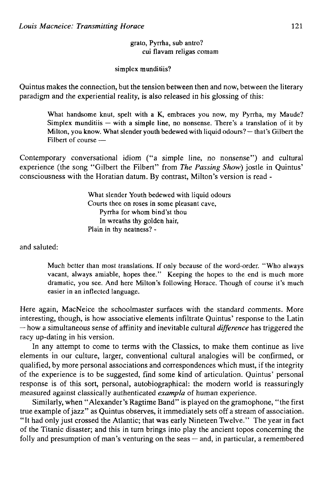grato, Pyrrha, sub antro? cui flavam religas comam

simplex munditiis?

Quintus makes the connection, but the tensión between then and now, between the literary paradigm and the experiential reality, is also released in his glossing of this:

What handsome knut, spelt with a K, embraces you now, my Pyrrha, my Maude? Simplex munditiis  $-$  with a simple line, no nonsense. There's a translation of it by Milton, you know. What slender youth bedewed with liquid odours? — that's Gilbert the Filbert of course  $-$ 

Contemporary conversational idiom ("a simple line, no nonsense") and cultural experience (the song "Gilbert the Filbert" from *The Passing Show)* jostle in Quintus' consciousness with the Horatian datum. By contrast, Milton's version is read -

> What slender Youth bedewed with liquid odours Courts thee on roses in some pleasant cave, Pyrrha for whom bind'st thou In wreaths thy golden hair, Plain in thy neatness? -

and saluted:

Much better than most translations. If only because of the word-order. "Who always vacant, always amiable, hopes thee." Keeping the hopes to the end is much more dramatic, you see. And here Milton's following Horace. Though of course it's much easier in an inflected language.

Here again, MacNeice the schoolmaster surfaces with the standard comments. More interesting, though, is how associative elements infíltrate Quintus' response to the Latin — how a simultaneous sense of affinity and inevitable cultural *difference* has triggered the racy up-dating in his version.

In any attempt to come to terms with the Classics, to make them continue as live elements in our culture, larger, conventional cultural analogies will be confirmed, or qualified, by more personal associations and correspondences which must, if the integrity of the experience is to be suggested, find some kind of articulation. Quintus' personal response is of this sort, personal, autobiographical: the modern world is reassuringly measured against classically authenticated *exampla* of human experience.

Similarly, when "Alexander's Ragtime Band" is played on the gramophone, "the first true example of jazz" as Quintus observes, it immediately sets off a stream of association. "It had only just crossed the Atlantic; that was early Nineteen Twelve." The year in fact of the Titanic disaster; and this in turn brings into play the ancient topos concerning the folly and presumption of man's venturing on the seas — and, in particular, a remembered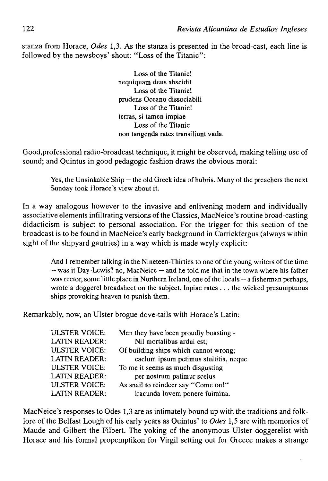stanza from Horace, *Odes* 1,3. As the stanza is presented in the broad-cast, each line is followed by the newsboys' shout: "Loss of the Titanic":

> Loss of the Titanic! nequiquam deus abscidit Loss of the Titanic! prudens Océano dissociabili Loss of the Titanic! térras, si tamen impiae Loss of the Titanic non tangenda rates transiliunt vada.

Good,professional radio-broadcast technique, it might be observed, making telling use of sound; and Quintus in good pedagogic fashion draws the obvious moral:

Yes, the Unsinkable  $\text{Spin}-$  the old Greek idea of hubris. Many of the preachers the next Sunday took Horace's view about it.

In a way analogous however to the invasive and enlivening modern and individually associative elements infiltrating versions of the Classics, MacNeice's routine broad-casting didacticism is subject to personal association. For the trigger for this section of the broadcast is to be found in MacNeice's early background in Carrickfergus (always within sight of the shipyard gantries) in a way which is made wryly explicit:

And I remember talking in the Nineteen-Thirties to one of the young writers of the time — was it Day-Lewis? no, MacNeice — and he told me that in the town where his father was rector, some little place in Northern Ireland, one of the locals — a fisherman perhaps, wrote a doggerel broadsheet on the subject. Inpiae rates .. . the wicked presumptuous ships provoking heaven to punish them.

Remarkably, now, an Ulster brogue dove-tails with Horace's Latin:

| <b>ULSTER VOICE:</b> | Men they have been proudly boasting - |
|----------------------|---------------------------------------|
| LATIN READER:        | Nil mortalibus ardui est;             |
| ULSTER VOICE:        | Of building ships which cannot wrong; |
| LATIN READER:        | caelum ipsum petimus stultitia, neque |
| ULSTER VOICE:        | To me it seems as much disgusting     |
| LATIN READER:        | per nostrum patimur scelus            |
| ULSTER VOICE:        | As snail to reindeer say "Come on!"   |
| LATIN READER:        | iracunda Iovem ponere fulmina.        |
|                      |                                       |

MacNeice's responses to Odes 1,3 are as intimately bound up with the traditions and folklore of the Belfast Lough of his early years as Quintus' to *Odes* 1,5 are with memories of Maude and Gilbert the Filbert. The yoking of the anonymous Ulster doggerelist with Horace and his formal propemptikon for Virgil setting out for Greece makes a strange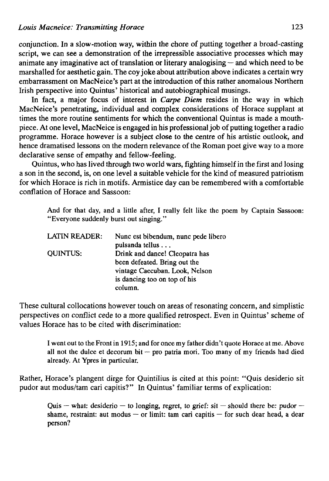conjunction. In a slow-motion way, within the chore of putting together a broad-casting script, we can see a demonstration of the irrepressible associative processes which may animate any imaginative act of translation or literary analogising — and which need to be marshalled for aesthetic gain. The coy joke about attribution above indicates a certain wry embarrassment on MacNeice's part at the introduction of this rather anomalous Northern Irish perspective into Quintus' historical and autobiographical musings.

In fact, a major focus of interest in *Carpe Diem* resides in the way in which MacNeice's penetrating, individual and complex considerations of Horace supplant at times the more routine sentiments for which the conventional Quintus is made a mouthpiece. At one level, MacNeice is engaged in his professional job of putting together a radio programme. Horace however is a subject cióse to the centre of his artistic outlook, and hence dramatised lessons on the modern relevance of the Roman poet give way to a more declarative sense of empathy and fellow-feeling.

Quintus, who has lived through two world wars, fighting himself in the first and losing a son in the second, is, on one level a suitable vehicle for the kind of measured patriotism for which Horace is rich in motifs. Armistice day can be remembered with a comfortable conflation of Horace and Sassoon:

And for that day, and a little after, I really felt like the poem by Captain Sassoon: "Everyone suddenly burst out singing."

| <b>LATIN READER:</b> | Nunc est bibendum, nunc pede libero |
|----------------------|-------------------------------------|
|                      | pulsanda tellus                     |
| <b>OUINTUS:</b>      | Drink and dance! Cleopatra has      |
|                      | been defeated. Bring out the        |
|                      | vintage Caecuban. Look, Nelson      |
|                      | is dancing too on top of his        |
|                      | column.                             |

These cultural collocations however touch on areas of resonating concern, and simplistic perspectives on conflict cede to a more qualified retrospect. Even in Quintus' scheme of values Horace has to be cited with discrimination:

I went out to the Front in 1915; and for once my father didn't quote Horace at me. Above all not the dulce et decorum bit  $-$  pro patria mori. Too many of my friends had died already. At Ypres in particular.

Rather, Horace's plangent dirge for Quintilius is cited at this point: "Quis desiderio sit pudor aut modus/tam cari capitis?" In Quintus' familiar terms of explication:

Quis — what: desiderio — to longing, regret, to grief: sit — should there be: pudor shame, restraint: aut modus — or limit: tam cari capitis — for such dear head, a dear person?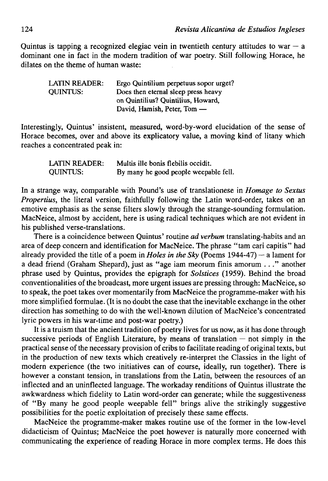Quintus is tapping a recognized elegiac vein in twentieth century attitudes to war  $-$  a dominant one in fact in the modern tradition of war poetry. Still following Horace, he dilates on the theme of human waste:

| LATIN READER:   | Ergo Quintilium perpetuus sopor urget? |
|-----------------|----------------------------------------|
| <b>OUINTUS:</b> | Does then eternal sleep press heavy    |
|                 | on Quintilius? Quintilius, Howard,     |
|                 | David, Hamish, Peter, Tom —            |

Interestingly, Quintus' insistent, measured, word-by-word elucidation of the sense of Horace becomes, over and above its explicatory value, a moving kind of litany which reaches a concentrated peak in:

| LATIN READER:   | Multis ille bonis flebilis occidit.   |
|-----------------|---------------------------------------|
| <b>OUINTUS:</b> | By many he good people weepable fell. |

In a strange way, comparable with Pound's use of translationese in *Homage to Sextus Propertius*, the literal version, faithfully following the Latin word-order, takes on an emotive emphasis as the sense filters slowly through the strange-sounding formulation. MacNeice, almost by accident, here is using radical techniques which are not evident in his published verse-translations.

There is a coincidence between Quintus' routine *ad verbum* translating-habits and an área of deep concern and identification for MacNeice. The phrase "tam cari capitis" had already provided the title of a poem in *Holes in the Sky* (Poems 1944-47) — a lament for a dead friend (Graham Shepard), just as "age iam meorum finis amorum ... " another phrase used by Quintus, provides the epigraph for *Solstices* (1959). Behind the broad conventionalities of the broadcast, more urgent issues are pressing through: MacNeice, so to speak, the poet takes over momentarily from MacNeice the programme-maker with his more simplified formulae. (It is no doubt the case that the inevitable exchange in the other direction has something to do with the well-known dilution of MacNeice's concentrated lyric powers in his war-time and post-war poetry.)

It is a truism that the ancient tradition of poetry lives for us now, as it has done through successive periods of English Literature, by means of translation  $-$  not simply in the practical sense of the necessary provisión of cribs to facilítate reading of original texts, but in the production of new texts which creatively re-interpret the Classics in the light of modern experience (the two initiatives can of course, ideally, run together). There is however a constant tension, in translations from the Latin, between the resources of an inflected and an uninflected language. The workaday renditions of Quintus illustrate the awkwardness which fidelity to Latin word-order can generate; while the suggestiveness of "By many he good people weepable fell" brings alive the strikingly suggestive possibilities for the poetic exploitation of precisely these same effects.

MacNeice the programme-maker makes routine use of the former in the low-level didacticism of Quintus; MacNeice the poet however is naturally more concerned with communicating the experience of reading Horace in more complex terms. He does this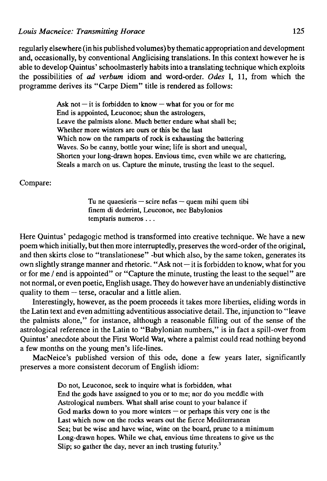regularly elsewhere (in his published volumes) by thematic appropriation and development and, occasionally, by conventional Anglicising translations. In this context however he is able to develop Quintus' schoolmasterly habits into a translating technique which exploits the possibilities of *ad verbum* idiom and word-order. *Odes* I, 11, from which the programme derives its "Carpe Diem" title is rendered as follows:

> Ask not  $-$  it is forbidden to know  $-$  what for you or for me End is appointed, Leuconoe; shun the astrologers, Leave the palmists alone. Much better endure what shall be; Whether more winters are ours or this be the last Which now on the ramparts of rock is exhausting the battering Waves. So be canny, bottle your wine; life is short and unequal, Shorten your long-drawn hopes. Envious time, even while we are chattering, Steals a march on us. Capture the minute, trusting the least to the sequel.

Compare:

Tu ne quaesieris  $-$  scire nefas  $-$  quem mihi quem tibi finem di dederint, Leuconoe, nec Babylonios temptaris numeros ...

Here Quintus' pedagogic method is transformed into creative technique. We have a new poem which initially, but then more interruptedly, preserves the word-order of the original, and then skirts close to "translationese" -but which also, by the same token, generates its own slightly strange manner and rhetoric. "Ask not—it is forbidden to know, what for you or for me / end is appointed" or "Capture the minute, trusting the least to the sequel" are not normal, or even poetic, English usage. They do however have an undeniably distinctive quality to them — terse, oracular and a little alien.

Interestingly, however, as the poem proceeds it takes more liberties, eliding words in the Latin text and even admitting adventitious associative detail. The, injunction to "leave the palmists alone," for instance, although a reasonable filling out of the sense of the astrological reference in the Latin to "Babylonian numbers," is in fact a spill-over from Quintus' anecdote about the First World War, where a palmist could read nothing beyond a few months on the young men's life-lines.

MacNeice's published version of this ode, done a few years later, significantly preserves a more consistent decorum of English idiom:

> Do not, Leuconoe, seek to inquire what is forbidden, what End the gods have assigned to you or to me; nor do you meddle with Astrological numbers. What shall arise count to your balance if God marks down to you more winters  $-$  or perhaps this very one is the Last which now on the rocks wears out the fierce Mediterranean Sea; but be wise and have wine, wine on the board, prune to a minimum Long-drawn hopes. While we chat, envious time threatens to give us the Slip; so gather the day, never an inch trusting futurity.<sup>3</sup>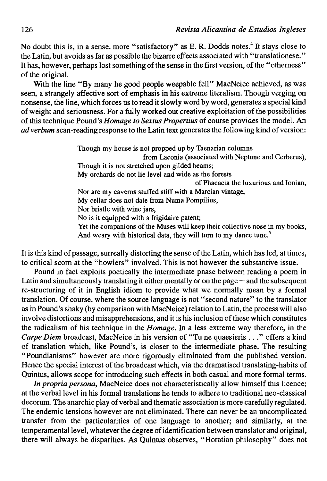No doubt this is, in a sense, more "satisfactory" as E. R. Dodds notes.<sup>4</sup> It stays close to the Latin, but avoids as far as possible the bizarre effects associated with "translationese." It has, however, perhaps lost something of the sense in the first versión, of the "otherness" of the original.

With the line "By many he good people weepable fell" MacNeice achieved, as was seen, a strangely affective sort of emphasis in his extreme literalism. Though verging on nonsense, the line, which forces us to read it slowly word by word, generates a special kind of weight and seriousness. For a fully worked out creative exploitation of the possibilities of this technique Pound's *Homage to Sextus Propertius* of course provides the model. An *ad verbum* scan-reading response to the Latin text generates the following kind of version:

> Though my house is not propped up by Taenarian columns from Laconia (associated with Neptune and Cerberus), Though it is not stretched upon gilded beams; My orchards do not lie level and wide as the forests of Phaeacia the luxurious and Ionian, Nor are my caverns stuffed stiff with a Marcian vintage, My cellar does not date from Numa Pompilius, Nor bristle with wine jars, No is it equipped with a frigidaire patent; Yet the companions of the Muses will keep their collective nose in my books, And weary with historical data, they will turn to my dance tune.<sup>5</sup>

It is this kind of passage, surreally distorting the sense of the Latin, which has led, at times, to critical scorn at the "howlers" involved. This is not however the substantive issue.

Pound in fact exploits poetically the intermedíate phase between reading a poem in Latin and simultaneously translating it either mentally or on the page — and the subsequent re-structuring of it in English idiom to provide what we normally mean by a formal translation. Of course, where the source language is not "second nature" to the translator as in Pound's shaky (by comparison with MacNeice) relation to Latin, the process will also involve distortions and misapprehensions, and it is his inclusión of these which constitutes the radicalism of his technique in the *Homage.* In a less extreme way therefore, in the *Carpe Diem* broadcast, MacNeice in his versión of "Tu ne quaesieris . . ." offers a kind of translation which, like Pound's, is closer to the intermediate phase. The resulting "Poundianisms" however are more rigorously eliminated from the published versión. Hence the special interest of the broadcast which, via the dramatised translating-habits of Quintus, allows scope for introducing such effects in both casual and more formal terms.

*In propria persona,* MacNeice does not characteristically allow himself this licence; at the verbal level in his formal translations he tends to adhere to traditional neo-classical decorum. The anarchic play of verbal and thematic association is more carefully regulated. The endemic tensions however are not eliminated. There can never be an uncomplicated transfer from the particularities of one language to another; and similarly, at the temperamental level, whatever the degree of identification between translator and original, there will always be disparities. As Quintus observes, "Horatian philosophy" does not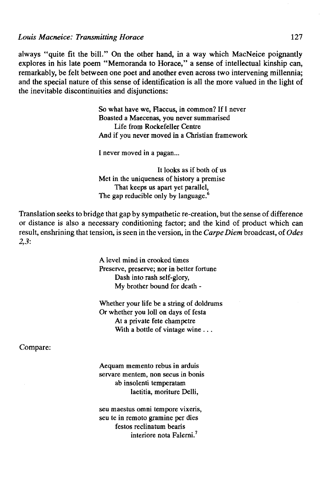always "quite fit the bill." On the other hand, in a way which MacNeice poignantly explores in his late poem "Memoranda to Horace," a sense of intellectual kinship can, remarkably, be felt between one poet and another even across two intervening millennia; and the special nature of this sense of identification is all the more valued in the light of the inevitable discontinuities and disjunctions:

> So what have we, Flaccus, in common? If I never Boasted a Maecenas, you never summarísed Life from Rockefeller Centre And if you never moved in a Christian framework

I never moved in a pagan...

It looks as if both of us Met in the uniqueness of history a premise That keeps us apart yet parallel, The gap reducible only by language.<sup>6</sup>

Translation seeks to bridge that gap by sympathetic re-creation, but the sense of difference or distance is also a necessary conditioning factor; and the kind of product which can result, enshrining that tensión, is seen in the versión, in the *Carpe Diem* broadcast, of *Odes 2,3:* 

> A level mind in crooked times Preserve, preserve; nor in better fortune Dash into rash self-glory, My brother bound for death -

Whether your life be a string of doldrums Or whether you loll on days of festa At a prívate fete champetre With a bottle of vintage wine ...

Compare:

Aequam memento rebus in arduis servare mentem, non secus in bonis ab insolenti temperatam laetitia, moriture Delli,

seu maestus omni tempore vixeris, seu te in remoto gramine per dies festos reclinatum bearis interiore nota Falerni.<sup>7</sup>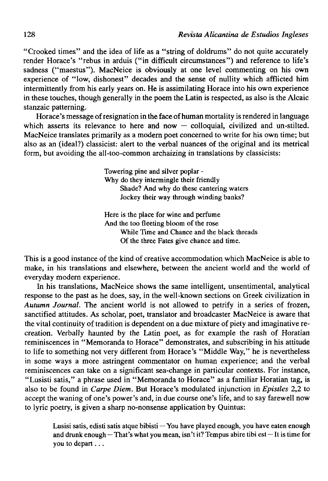"Crooked times" and the idea of life as a "string of doldrums" do not quite accurately render Horace's "rebus in arduis ("in difficult circumstances") and reference to life's sadness ("maestus"). MacNeice is obviously at one level commenting on his own experience of "low, dishonest" decades and the sense of nullity which afflicted him intermittently from his early years on. He is assimilating Horace into his own experience in these touches, though generally in the poem the Latin is respected, as also is the Alcaic stanzaic patterning.

Horace's message of resignation in the face of human mortality is rendered in language which asserts its relevance to here and now  $-$  colloquial, civilized and un-stilted. MacNeice translates primarily as a modern poet concemed to write for his own time; but also as an (ideal?) classicist: alert to the verbal nuances of the original and its metrical form, but avoiding the all-too-common archaizing in translations by classicists:

> Towering pine and silver poplar - Why do they intermingle their friendly Shade? And why do these cantering waters Jockey their way through winding banks?

Here is the place for wine and perfume And the too fleeting bloom of the rose While Time and Chance and the black threads Of the three Fates give chance and time.

This is a good instance of the kind of creative accommodation which MacNeice is able to make, in his translations and elsewhere, between the ancient world and the world of everyday modern experience.

In his translations, MacNeice shows the same intelligent, unsentimental, analytical response to the past as he does, say, in the well-known sections on Greek civilization in *Autumn Journal.* The ancient world is not allowed to petrify in a series of frozen, sanctified attitudes. As scholar, poet, translator and broadcaster MacNeice is aware that the vital continuity of tradition is dependent on a due mixture of piety and imaginative recreation. Verbally haunted by the Latin poet, as for example the rash of Horatian reminiscences in "Memoranda to Horace" demonstrates, and subscribing in his attitude to life to something not very different from Horace's "Middle Way," he is nevertheless in some ways a more astringent commentator on human experience; and the verbal reminiscences can take on a significant sea-change in particular contexts. For instance, "Lusisti satis," a phrase used in "Memoranda to Horace" as a familiar Horatian tag, is also to be found in *Carpe Diem.* But Horace's modulated injunction in *Epistles* 2,2 to accept the waning of one's power's and, in due course one's life, and to say farewell now to lyric poetry, is given a sharp no-nonsense application by Quintus:

Lusisi satis, edisti satis atque bibisti  $-\gamma$ ou have played enough, you have eaten enough and drunk enough – That's what you mean, isn't it? Tempus abire tibi est – It is time for you to depart...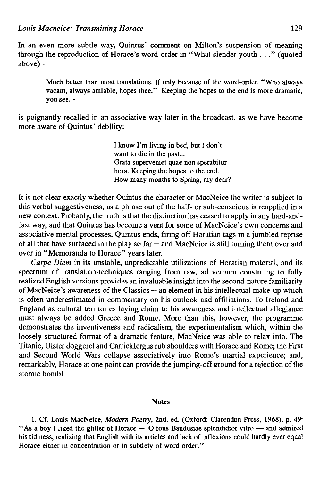In an even more subtle way, Quintus' comment on Milton's suspensión of meaning through the reproduction of Horace's word-order in "What slender youth ... " (quoted above)-

Much better than most translations. If only because of the word-order. "Who always vacant, always amiable, hopes thee." Keeping the hopes to the end is more dramatic, you see. -

is poignantly recalled in an associative way later in the broadcast, as we have become more aware of Quintus' debility:

> I know I'm living in bed, but I don't want to die in the past... Grata superveniet quae non sperabitur hora. Keeping the hopes to the end... How many months to Spring, my dear?

It is not clear exactly whether Quintus the character or MacNeice the writer is subject to this verbal suggestiveness, as a phrase out of the half- or sub-conscious is reapplied in a new context. Probably, the truth is that the distinction has ceased to apply in any hard-andfast way, and that Quintus has become a vent for some of MacNeice's own concerns and associative mental processes. Quintus ends, firing off Horatian tags in a jumbled reprise of all that have surfaced in the play so  $far - and MacNeice$  is still turning them over and over in "Memoranda to Horace" years later.

*Carpe Diem* in its unstable, unpredictable utilizations of Horatian material, and its spectrum of translation-techniques ranging from raw, ad verbum construing to fully realized English versions provides an invaluable insight into the second-nature familiarity of MacNeice's awareness of the Classics — an element in his intellectual make-up which is often underestimated in commentary on his outlook and affiliations. To Ireland and England as cultural territories laying claim to his awareness and intellectual allegiance must always be added Greece and Rome. More than this, however, the programme demonstrates the inventiveness and radicalism, the experimentalism which, within the loosely structured format of a dramatic feature, MacNeice was able to relax into. The Titanic, Ulster doggerel and Carrickfergus rub shoulders with Horace and Rome; the First and Second World Wars collapse associatively into Rome's martial experience; and, remarkably, Horace at one point can provide the jumping-off ground for a rejection of the atomic bomb!

## **Notes**

1. Cf. Louis MacNeice, *Modern Poetry,* 2nd. ed. (Oxford: Clarendon Press, 1968), p. 49: "As a boy I liked the glitter of Horace  $-$  O fons Bandusiae splendidior vitro  $-$  and admired his tidiness, realizing that English with its articles and lack of inflexions could hardly ever equal Horace either in concentration or in subtlety of word order."